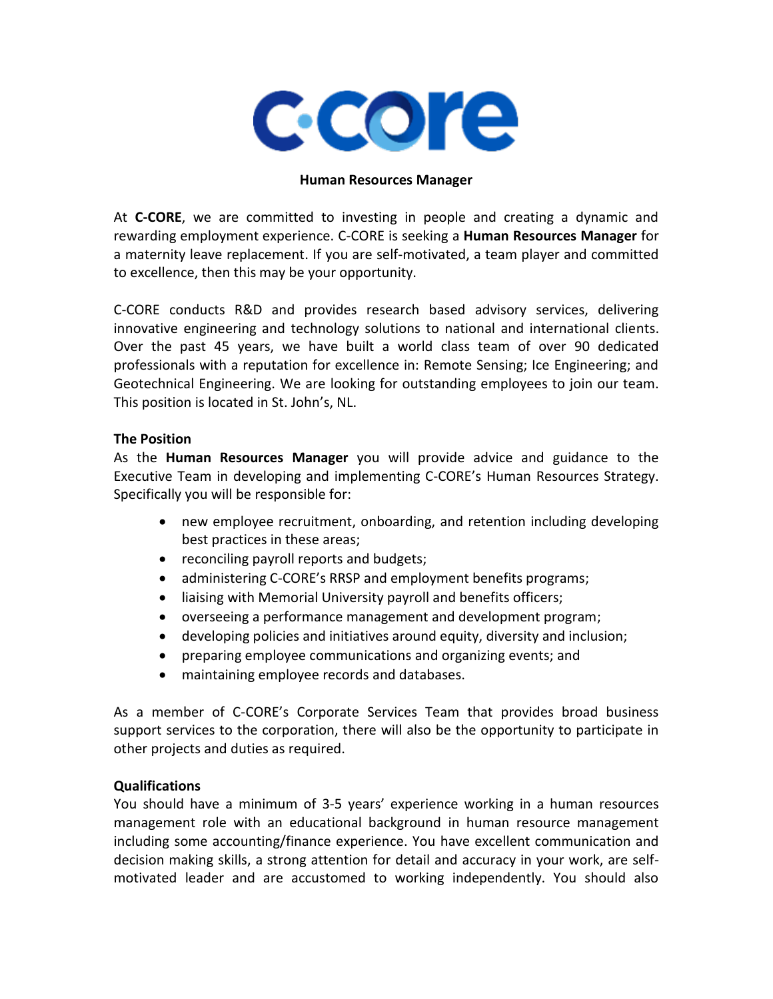

#### **Human Resources Manager**

At **C-CORE**, we are committed to investing in people and creating a dynamic and rewarding employment experience. C-CORE is seeking a **Human Resources Manager** for a maternity leave replacement. If you are self-motivated, a team player and committed to excellence, then this may be your opportunity.

C-CORE conducts R&D and provides research based advisory services, delivering innovative engineering and technology solutions to national and international clients. Over the past 45 years, we have built a world class team of over 90 dedicated professionals with a reputation for excellence in: Remote Sensing; Ice Engineering; and Geotechnical Engineering. We are looking for outstanding employees to join our team. This position is located in St. John's, NL.

#### **The Position**

As the **Human Resources Manager** you will provide advice and guidance to the Executive Team in developing and implementing C-CORE's Human Resources Strategy. Specifically you will be responsible for:

- new employee recruitment, onboarding, and retention including developing best practices in these areas;
- reconciling payroll reports and budgets;
- administering C-CORE's RRSP and employment benefits programs;
- liaising with Memorial University payroll and benefits officers;
- overseeing a performance management and development program;
- developing policies and initiatives around equity, diversity and inclusion;
- preparing employee communications and organizing events; and
- maintaining employee records and databases.

As a member of C-CORE's Corporate Services Team that provides broad business support services to the corporation, there will also be the opportunity to participate in other projects and duties as required.

## **Qualifications**

You should have a minimum of 3-5 years' experience working in a human resources management role with an educational background in human resource management including some accounting/finance experience. You have excellent communication and decision making skills, a strong attention for detail and accuracy in your work, are selfmotivated leader and are accustomed to working independently. You should also